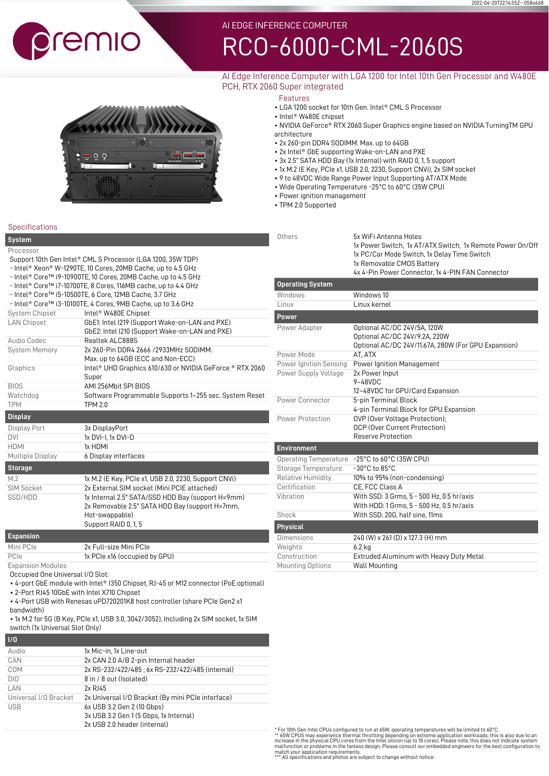# remio

# [RCO-6000-CML-2060S](https://premioinc.com/products/rco-6000-cml-2060s)

# AI Edge Inference Computer with LGA 1200 for Intel 10th Gen Processor and W480E PCH, RTX 2060 Super integrated



Features

- LGA 1200 socket for 10th Gen. Intel® CML S Processor
- Intel® W480E chipset
- NVIDIA GeForce® RTX 2060 Super Graphics engine based on NVIDIA TurningTM GPU architecture

2022-06-20T22:14:55Z--058e668

- 2x 260-pin DDR4 SODIMM. Max. up to 64GB
- 2x Intel® GbE supporting Wake-on-LAN and PXE
- 3x 2.5" SATA HDD Bay (1x Internal) with RAID 0, 1, 5 support
- 1x M.2 (E Key, PCIe x1, USB 2.0, 2230, Support CNVi), 2x SIM socket
- 9 to 48VDC Wide Range Power Input Supporting AT/ATX Mode
- Wide Operating Temperature -25°C to 60°C (35W CPU)
- Power ignition management
- TPM 2.0 Supported

| <b>System</b>                                                |                                                                | Others                       | 5x WiFi Antenna Holes                                                                                    |
|--------------------------------------------------------------|----------------------------------------------------------------|------------------------------|----------------------------------------------------------------------------------------------------------|
| Processor                                                    |                                                                |                              | 1x Power Switch, 1x AT/ATX Switch, 1x Remote Power On/Off<br>1x PC/Car Mode Switch, 1x Delay Time Switch |
| Support 10th Gen Intel® CML S Processor (LGA 1200, 35W TDP)  |                                                                |                              | 1x Removable CMOS Battery                                                                                |
| - Intel® Xeon® W-1290TE, 10 Cores, 20MB Cache, up to 4.5 GHz |                                                                |                              | 4x 4-Pin Power Connector, 1x 4-PIN FAN Connector                                                         |
|                                                              | - Intel® Core™ i9-10900TE, 10 Cores, 20MB Cache, up to 4.5 GHz |                              |                                                                                                          |
|                                                              | - Intel® Core™ i7-10700TE, 8 Cores, 116MB cache, up to 4.4 GHz | <b>Operating System</b>      |                                                                                                          |
|                                                              | - Intel® Core™ i5-10500TE, 6 Core, 12MB Cache, 3.7 GHz         | Windows                      | Windows 10                                                                                               |
|                                                              | - Intel® Core™ i3-10100TE, 4 Cores, 9MB Cache, up to 3.6 GHz   | Linux                        | Linux kernel                                                                                             |
| System Chipset                                               | Intel <sup>®</sup> W480E Chipset                               | <b>Power</b>                 |                                                                                                          |
| <b>LAN Chipset</b>                                           | GbE1: Intel I219 (Support Wake-on-LAN and PXE)                 | Power Adapter                | Optional AC/DC 24V/5A, 120W                                                                              |
|                                                              | GbE2: Intel I210 (Support Wake-on-LAN and PXE)                 |                              | Optional AC/DC 24V/9.2A, 220W                                                                            |
| Audio Codec                                                  | Realtek ALC888S                                                |                              | Optional AC/DC 24V/11.67A, 280W (For GPU Expansion)                                                      |
| <b>System Memory</b>                                         | 2x 260-Pin DDR4 2666 / 2933 MHz SODIMM.                        | Power Mode                   | AT, ATX                                                                                                  |
|                                                              | Max. up to 64GB (ECC and Non-ECC)                              | Power Ignition Sensing       | Power Ignition Management                                                                                |
| Graphics                                                     | Intel® UHD Graphics 610/630 or NVIDIA GeForce ® RTX 2060       | Power Supply Voltage         | 2x Power Input                                                                                           |
|                                                              | Super                                                          |                              | $9 - 48$ VDC                                                                                             |
| <b>BIOS</b>                                                  | AMI 256Mbit SPI BIOS                                           |                              | 12~48VDC for GPU/Card Expansion                                                                          |
| Watchdog                                                     | Software Programmable Supports 1~255 sec. System Reset         | <b>Power Connector</b>       | 5-pin Terminal Block                                                                                     |
| <b>TPM</b>                                                   | <b>TPM 2.0</b>                                                 |                              | 4-pin Terminal Block for GPU Expansion                                                                   |
| <b>Display</b>                                               |                                                                | Power Protection             | OVP (Over Voltage Protection);                                                                           |
| Display Port                                                 | 3x DisplayPort                                                 |                              | OCP (Over Current Protection)                                                                            |
| <b>DVI</b>                                                   | 1x DVI-I, 1x DVI-D                                             |                              | <b>Reserve Protection</b>                                                                                |
| <b>HDMI</b>                                                  | 1x HDMI                                                        | <b>Environment</b>           |                                                                                                          |
| <b>Multiple Display</b>                                      | 6 Display interfaces                                           | <b>Operating Temperature</b> | -25°C to 60°C (35W CPU)                                                                                  |
| <b>Storage</b>                                               |                                                                | Storage Temperature          | $-30^{\circ}$ C to 85 $^{\circ}$ C                                                                       |
| M.2                                                          | 1x M.2 (E Key, PCIe x1, USB 2.0, 2230, Support CNVi)           | <b>Relative Humidity</b>     | 10% to 95% (non-condensing)                                                                              |
| <b>SIM Socket</b>                                            | 2x External SIM socket (Mini PCIE attached)                    | Certification                | CE. FCC Class A                                                                                          |
| SSD/HDD                                                      | 1x Internal 2.5" SATA/SSD HDD Bay (support H=9mm)              | Vibration                    | With SSD: 3 Grms, 5 - 500 Hz, 0.5 hr/axis                                                                |
|                                                              | 2x Removable 2.5" SATA HDD Bay (support H=7mm,                 |                              | With HDD: 1 Grms, 5 - 500 Hz, 0.5 hr/axis                                                                |
|                                                              | Hot-swappable)                                                 | Shock                        | With SSD: 20G, half sine, 11ms                                                                           |
|                                                              | Support RAID 0, 1, 5                                           | <b>Physical</b>              |                                                                                                          |
| <b>Expansion</b>                                             |                                                                | <b>Dimensions</b>            | 240 (W) x 261 (D) x 127.3 (H) mm                                                                         |
| Mini PCIe                                                    | 2x Full-size Mini PCIe                                         | Weights                      | $6.2$ kg                                                                                                 |
| PCIe                                                         | 1x PCIe x16 (occupied by GPU)                                  | Construction                 | Extruded Aluminum with Heavy Duty Metal                                                                  |
| <b>Expansion Modules</b>                                     |                                                                | <b>Mounting Options</b>      | <b>Wall Mounting</b>                                                                                     |

Expansion Modules

Occupied One Universal I/O Slot:

• 4-port GbE module with Intel® I350 Chipset, RJ-45 or M12 connector (PoE optional)

• 2-Port RJ45 10GbE with Intel X710 Chipset

• 4-Port USB with Renesas uPD720201K8 host controller (share PCIe Gen2 x1

bandwidth)

• 1x M.2 for 5G (B Key, PCIe x1, USB 3.0, 3042/3052), Including 2x SIM socket, 1x SIM switch (1x Universal Slot Only)

| $\overline{1/0}$      |                                                   |
|-----------------------|---------------------------------------------------|
| Audio                 | 1x Mic-in, 1x Line-out                            |
| CAN                   | 2x CAN 2.0 A/B 2-pin Internal header              |
| COM                   | 2x RS-232/422/485 : 6x RS-232/422/485 (internal)  |
| DIO                   | 8 in / 8 out (Isolated)                           |
| LAN                   | 2x RJ45                                           |
| Universal I/O Bracket | 2x Universal I/O Bracket (By mini PCIe interface) |
| <b>USB</b>            | 6x USB 3.2 Gen 2 (10 Gbps)                        |
|                       | 3x USB 3.2 Gen 1 (5 Gbps, 1x Internal)            |
|                       | 2x USB 2.0 header (internal)                      |

| Linux                                                                                  | Linux kernel                                                                                                                                                                                                                                                      |
|----------------------------------------------------------------------------------------|-------------------------------------------------------------------------------------------------------------------------------------------------------------------------------------------------------------------------------------------------------------------|
| <b>Power</b>                                                                           |                                                                                                                                                                                                                                                                   |
| Power Adapter                                                                          | Optional AC/DC 24V/5A, 120W<br>Optional AC/DC 24V/9.2A, 220W<br>Optional AC/DC 24V/11.67A, 280W (For GPU Expansion)                                                                                                                                               |
| Power Mode                                                                             | AT, ATX                                                                                                                                                                                                                                                           |
| Power Ignition Sensing                                                                 | Power Ignition Management                                                                                                                                                                                                                                         |
| Power Supply Voltage                                                                   | 2x Power Input<br>$9 - 48$ VDC<br>12~48VDC for GPU/Card Expansion                                                                                                                                                                                                 |
| Power Connector                                                                        | 5-pin Terminal Block<br>4-pin Terminal Block for GPU Expansion                                                                                                                                                                                                    |
| Power Protection                                                                       | OVP (Over Voltage Protection);<br><b>OCP (Over Current Protection)</b><br>Reserve Protection                                                                                                                                                                      |
| <b>Environment</b>                                                                     |                                                                                                                                                                                                                                                                   |
| Storage Temperature<br><b>Relative Humidity</b><br>Certification<br>Vibration<br>Shock | Operating Temperature -25°C to 60°C (35W CPU)<br>$-30^{\circ}$ C to 85 $^{\circ}$ C<br>10% to 95% (non-condensing)<br>CE. FCC Class A<br>With SSD: 3 Grms, 5 - 500 Hz, 0.5 hr/axis<br>With HDD: 1 Grms, 5 - 500 Hz, 0.5 hr/axis<br>With SSD: 20G, half sine, 11ms |
| <b>Physical</b>                                                                        |                                                                                                                                                                                                                                                                   |
| <b>Dimensions</b><br>Weights<br>Construction                                           | 240 (W) x 261 (D) x 127.3 (H) mm<br>$6.2$ kg<br>Extruded Aluminum with Heavy Duty Metal                                                                                                                                                                           |

\* For 10th Gen Intel CPUs configured to run at 65W, operating temperatures will be limited to 60°C.<br>\*\* 65W CPUS may experience thermal throttling depending on extreme application workloads; this is also due to an<br>increase

Specifications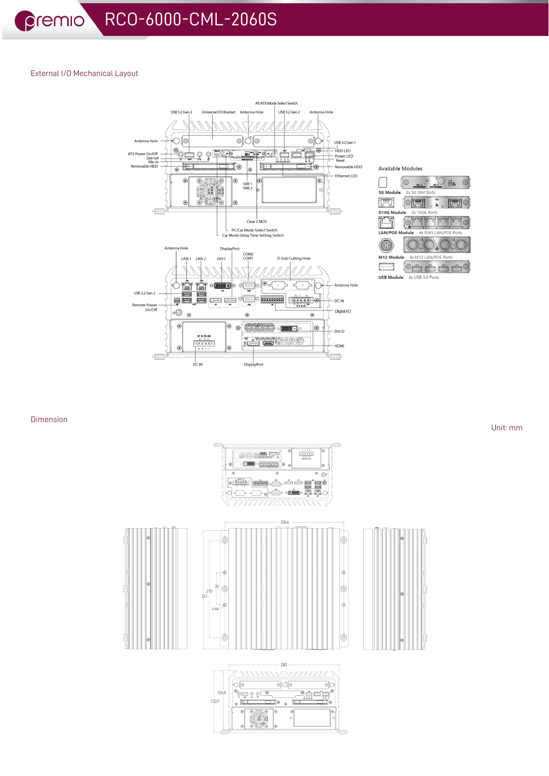# External I/O Mechanical Layout



| Available Modules                     |  |  |
|---------------------------------------|--|--|
| $\bullet$<br>日日 (1)                   |  |  |
| 5G Module: 2x 5G SIM Slots            |  |  |
| 109<br><b>Witness</b>                 |  |  |
| D10G Module: 2x 10Gb Ports            |  |  |
|                                       |  |  |
| LAN/POE Module: 4x RJ45 LAN/POE Ports |  |  |
|                                       |  |  |
| M12 Module:<br>4x M12 LAN/POE Ports   |  |  |
|                                       |  |  |

USB Module: 4x USB 3.0 Ports

# Dimension

 $\begin{picture}(20,10) \put(0,0){\line(1,0){10}} \put(10,0){\line(1,0){10}} \put(10,0){\line(1,0){10}} \put(10,0){\line(1,0){10}} \put(10,0){\line(1,0){10}} \put(10,0){\line(1,0){10}} \put(10,0){\line(1,0){10}} \put(10,0){\line(1,0){10}} \put(10,0){\line(1,0){10}} \put(10,0){\line(1,0){10}} \put(10,0){\line(1,0){10}} \put(10,0){\line(1$  $\begin{picture}(20,20) \put(0,0){\line(1,0){10}} \put(15,0){\line(1,0){10}} \put(15,0){\line(1,0){10}} \put(15,0){\line(1,0){10}} \put(15,0){\line(1,0){10}} \put(15,0){\line(1,0){10}} \put(15,0){\line(1,0){10}} \put(15,0){\line(1,0){10}} \put(15,0){\line(1,0){10}} \put(15,0){\line(1,0){10}} \put(15,0){\line(1,0){10}} \put(15,0){\line(1$  $\triangle$ <u> TIIIIII IN NOOCO</u> 256.6 ¢ Ġ. -6  $\overline{70}$ 16 œ  $210$  $2k$ ¢  $4 - M4$ \$  $-240$ **ZAMANAS TAMMULA**  $\circ$  $\circ$ 

126.8  $133.9$ 

 $\frac{1}{\sqrt{2}}$ 

d d  $\odot$ 

 $\circ$ 

ر<br>وقد شند کا<br>اللہ کا کالیا

Unit: mm